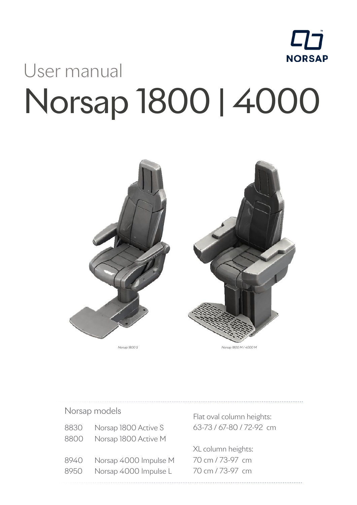

# User manual Norsap 1800 | 4000



Norsap models

| 8830 | Norsap 1800 Active S  |
|------|-----------------------|
| 8800 | Norsap 1800 Active M  |
|      |                       |
| 8940 | Norsap 4000 Impulse M |
| 8950 | Norsap 4000 Impulse L |
|      |                       |

Flat oval column heights: 63-73 / 67-80 / 72-92 cm

XL column heights: 70 cm / 73-97 cm 70 cm / 73-97 cm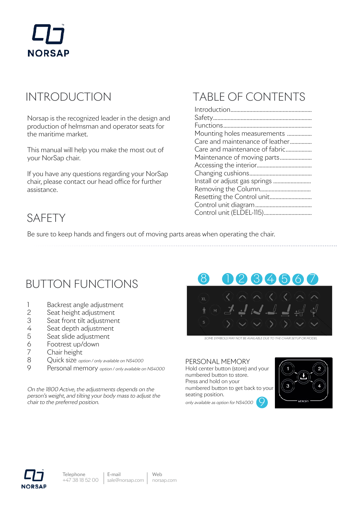

### INTRODUCTION

Norsap is the recognized leader in the design and production of helmsman and operator seats for the maritime market.

This manual will help you make the most out of your NorSap chair.

If you have any questions regarding your NorSap chair, please contact our head office for further assistance.

# TABLE OF CONTENTS

| Mounting holes measurements     |
|---------------------------------|
| Care and maintenance of leather |
| Care and maintenance of fabric  |
| Maintenance of moving parts     |
|                                 |
|                                 |
| Install or adjust gas springs   |
|                                 |
|                                 |
|                                 |
|                                 |

### SAFETY

Be sure to keep hands and fingers out of moving parts areas when operating the chair.

### BUTTON FUNCTIONS

- 1 Backrest angle adjustment
- 2 Seat height adjustment
- 3 Seat front tilt adjustment
- 4 Seat depth adjustment
- 5 Seat slide adjustment
- 6 Footrest up/down
- 7 Chair height
- 8 Ouick size option / only available on NS4000
- 9 Personal memory option / only available on NS4000

On the 1800 Active, the adjustments depends on the person's weight, and tilting your body mass to adjust the chair to the preferred position.



SOME SYMBOLS MAY NOT BE AVAILABLE DUE TO THE CHAIR SETUP OR MODEL

#### PERSONAL MEMORY

Hold center button (store) and your numbered button to store. Press and hold on your numbered button to get back to your seating position. 9

only available as option for NS4000





E-mail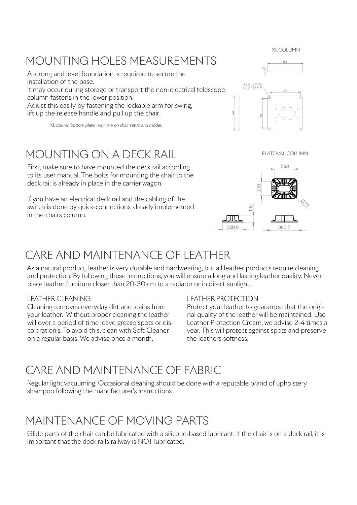XL COLUMN

### MOUNTING HOLES MEASUREMENTS

A strong and level foundation is required to secure the installation of the base. It may occur during storage or transport the non-electrical telescope

column fastens in the lower position.

Adjust this easily by fastening the lockable arm for swing, lift up the release handle and pull up the chair.

XL column bottom plate, may vary on chair setup and model.

### MOUNTING ON A DECK RAIL

First, make sure to have mounted the deck rail according to its user manual. The bolts for mounting the chair to the deck rail is already in place in the carrier wagon.

If you have an electrical deck rail and the cabling of the switch is done by quick-connections already implemented in the chairs column.

290

FLATOVAL COLUMN



 $4 \times \emptyset$  11 THRU<br>  $\vee$   $\emptyset$  22,7 X 90

### CARE AND MAINTENANCE OF LEATHER

As a natural product, leather is very durable and hardwearing, but all leather products require cleaning and protection. By following these instructions, you will ensure a long and lasting leather quality. Never place leather furniture closer than 20-30 cm to a radiator or in direct sunlight.

#### LEATHER CLEANING

Cleaning removes everyday dirt and stains from your leather. Without proper cleaning the leather will over a period of time leave grease spots or discoloration's. To avoid this, clean with Soft Cleaner on a regular basis. We advise once a month.

#### LEATHER PROTECTION

Protect your leather to guarantee that the original quality of the leather will be maintained. Use Leather Protection Cream, we advise 2-4 times a year. This will protect against spots and preserve the leathers softness.

### CARE AND MAINTENANCE OF FABRIC

Regular light vacuuming. Occasional cleaning should be done with a reputable brand of upholstery shampoo following the manufacturer's instructions

### MAINTENANCE OF MOVING PARTS

Glide parts of the chair can be lubricated with a silicone-based lubricant. If the chair is on a deck rail, it is important that the deck rails railway is NOT lubricated.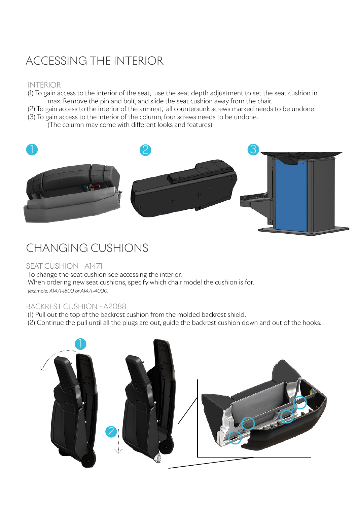## ACCESSING THE INTERIOR

#### INTERIOR

- (1) To gain access to the interior of the seat, use the seat depth adjustment to set the seat cushion in max. Remove the pin and bolt, and slide the seat cushion away from the chair.
- (2) To gain access to the interior of the armrest, all countersunk screws marked needs to be undone. (3) To gain access to the interior of the column, four screws needs to be undone.

(The column may come with different looks and features)



### CHANGING CUSHIONS

#### SEAT CUSHION - A1471

To change the seat cushion see accessing the interior. When ordering new seat cushions, specify which chair model the cushion is for. (example: A1471-1800 or A1471-4000)

#### BACKREST CUSHION - A2088

(1) Pull out the top of the backrest cushion from the molded backrest shield.

(2) Continue the pull until all the plugs are out, guide the backrest cushion down and out of the hooks.

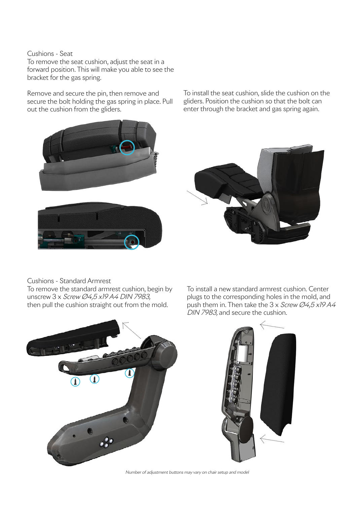#### Cushions - Seat

To remove the seat cushion, adjust the seat in a forward position. This will make you able to see the bracket for the gas spring.

Remove and secure the pin, then remove and secure the bolt holding the gas spring in place. Pull out the cushion from the gliders.

To install the seat cushion, slide the cushion on the gliders. Position the cushion so that the bolt can enter through the bracket and gas spring again.





#### Cushions - Standard Armrest

To remove the standard armrest cushion, begin by unscrew 3 x Screw Ø4,5 x19 A4 DIN 7983, then pull the cushion straight out from the mold.







Number of adjustment buttons may vary on chair setup and model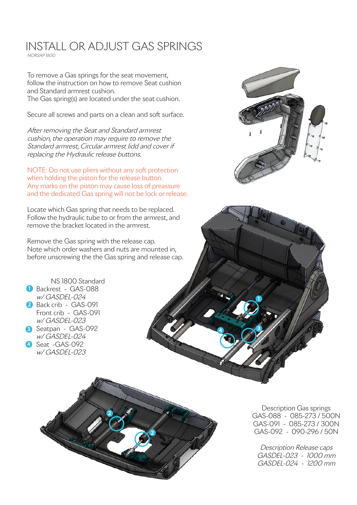#### INSTALL OR ADJUST GAS SPRINGS NORSAP 1800

To remove a Gas springs for the seat movement, follow the instruction on how to remove Seat cushion and Standard armrest cushion. The Gas spring(s) are located under the seat cushion.

Secure all screws and parts on a clean and soft surface.

After removing the Seat and Standard armrest cushion, the operation may require to remove the Standard armrest, Circular armrest lidd and cover if replacing the Hydraulic release buttons.

NOTE: Do not use pliers without any soft protection when holding the piston for the release button. Any marks on the piston may cause loss of preassure and the dedicated Gas spring will not be lock or release.

Locate which Gas spring that needs to be replaced. Follow the hydraulic tube to or from the armrest, and remove the bracket located in the armrest.

Remove the Gas spring with the release cap. Note which order washers and nuts are mounted in, before unscrewing the the Gas spring and release cap.

**1** Backrest - GAS-088

NS 1800 Standard

**2** Back crib - GAS-091

w/ GASDEL-024 Seat -GAS-092 **4** w/ GASDEL-023

Front crib - GAS-091 w/ GASDEL-023

w/ GASDEL-024



**4 3 3** Seatpan - GAS-092

Description Gas springs GAS-088 - 085-273 / 500N GAS-091 - 085-273 / 300N GAS-092 - 090-296 / 50N

Description Release caps GASDEL-023 - 1000 mm GASDEL-024 - 1200 mm



**1**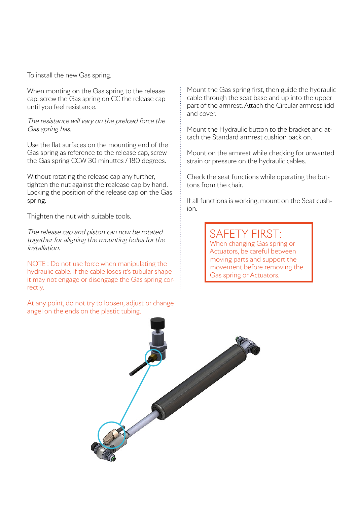To install the new Gas spring.

When monting on the Gas spring to the release cap, screw the Gas spring on CC the release cap until you feel resistance.

The resistance will vary on the preload force the Gas spring has.

Use the flat surfaces on the mounting end of the Gas spring as reference to the release cap, screw the Gas spring CCW 30 minuttes / 180 degrees.

Without rotating the release cap any further, tighten the nut against the realease cap by hand. Locking the position of the release cap on the Gas spring.

Thighten the nut with suitable tools.

The release cap and piston can now be rotated together for aligning the mounting holes for the installation.

NOTE : Do not use force when manipulating the hydraulic cable. If the cable loses it's tubular shape it may not engage or disengage the Gas spring correctly.

At any point, do not try to loosen, adjust or change angel on the ends on the plastic tubing.

Mount the Gas spring first, then guide the hydraulic cable through the seat base and up into the upper part of the armrest. Attach the Circular armrest lidd and cover.

Mount the Hydraulic button to the bracket and attach the Standard armrest cushion back on.

Mount on the armrest while checking for unwanted strain or pressure on the hydraulic cables.

Check the seat functions while operating the buttons from the chair.

If all functions is working, mount on the Seat cushion.

> SAFETY FIRST: When changing Gas spring or Actuators, be careful between moving parts and support the movement before removing the Gas spring or Actuators.

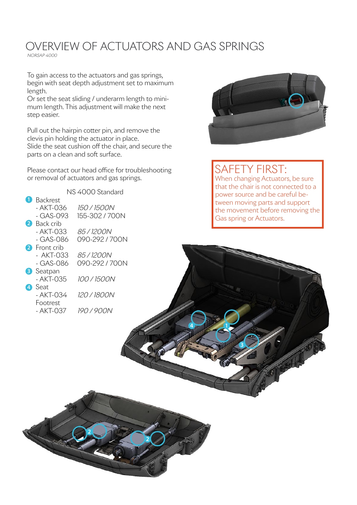### OVERVIEW OF ACTUATORS AND GAS SPRINGS

NORSAP 4000

To gain access to the actuators and gas springs, begin with seat depth adjustment set to maximum length.

Or set the seat sliding / underarm length to minimum length. This adjustment will make the next step easier.

Pull out the hairpin cotter pin, and remove the clevis pin holding the actuator in place. Slide the seat cushion off the chair, and secure the parts on a clean and soft surface.

Please contact our head office for troubleshooting or removal of actuators and gas springs.



### SAFETY FIRST:

**3**

**4**

When changing Actuators, be sure that the chair is not connected to a power source and be careful between moving parts and support the movement before removing the Gas spring or Actuators.



**2**

**2**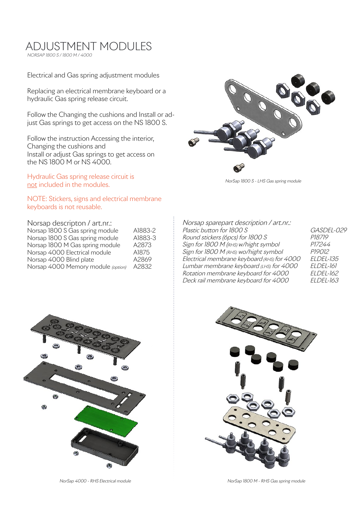#### ADJUSTMENT MODULES NORSAP 1800 S / 1800 M / 4000

Electrical and Gas spring adjustment modules

Replacing an electrical membrane keyboard or a hydraulic Gas spring release circuit.

Follow the Changing the cushions and Install or adjust Gas springs to get access on the NS 1800 S.

Follow the instruction Accessing the interior, Changing the cushions and Install or adjust Gas springs to get access on the NS 1800 M or NS 4000.

Hydraulic Gas spring release circuit is not included in the modules.

NOTE: Stickers, signs and electrical membrane keyboards is not reusable.

| Norsap descripton / art.nr.:       |         |
|------------------------------------|---------|
| Norsap 1800 S Gas spring module    | A1883-2 |
| Norsap 1800 S Gas spring module    | A1883-3 |
| Norsap 1800 M Gas spring module    | A2873   |
| Norsap 4000 Electrical module      | A1875   |
| Norsap 4000 Blind plate            | A2869   |
| Norsap 4000 Memory module (option) | A2832   |



NorSap 1800 S - LHS Gas spring module

| Norsap sparepart description / art.nr.:     |                  |
|---------------------------------------------|------------------|
| Plastic button for 1800 S                   | GASDEL-029       |
| Round stickers (6pcs) for 1800 S            | P18719           |
| Sign for 1800 M (RHS) w/hight symbol        | P17244           |
| Sign for 1800 M (RHS) wo/hight symbol       | P19012           |
| Electrical membrane keyboard (RHS) for 4000 | <b>ELDEL-135</b> |
| Lumbar membrane keyboard (LHS) for 4000     | ELDEL-161        |
| Rotation membrane keyboard for 4000         | <i>ELDEL-162</i> |
| Deck rail membrane keyboard for 4000        | <b>ELDEL-163</b> |





NorSap 4000 - RHS Electrical module

NorSap 1800 M - RHS Gas spring module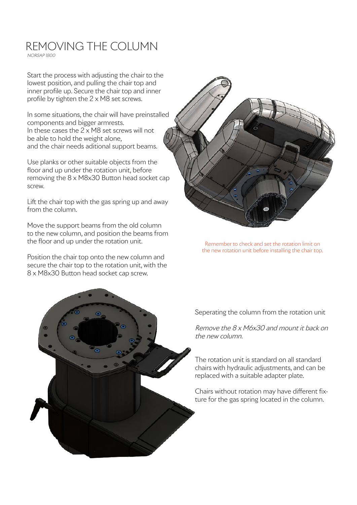### REMOVING THE COLUMN

NORSAP 1800

Start the process with adjusting the chair to the lowest position, and pulling the chair top and inner profile up. Secure the chair top and inner profile by tighten the 2 x M8 set screws.

In some situations, the chair will have preinstalled components and bigger armrests. In these cases the 2 x M8 set screws will not be able to hold the weight alone, and the chair needs aditional support beams.

Use planks or other suitable objects from the floor and up under the rotation unit, before removing the 8 x M8x30 Button head socket cap screw.

Lift the chair top with the gas spring up and away from the column.

Move the support beams from the old column to the new column, and position the beams from the floor and up under the rotation unit.

Position the chair top onto the new column and secure the chair top to the rotation unit, with the 8 x M8x30 Button head socket cap screw.



Remember to check and set the rotation limit on the new rotation unit before installing the chair top.

Seperating the column from the rotation unit

Remove the 8 x M6x30 and mount it back on the new column.

The rotation unit is standard on all standard chairs with hydraulic adjustments, and can be replaced with a suitable adapter plate.

Chairs without rotation may have different fixture for the gas spring located in the column.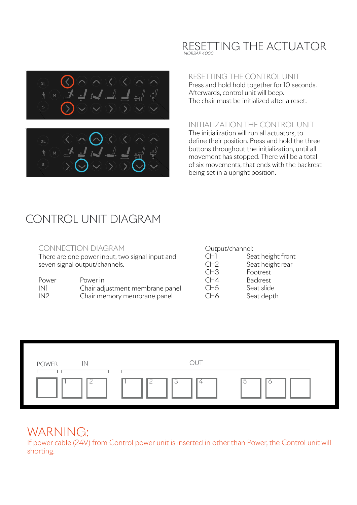



#### RESETTING THE CONTROL UNIT

Press and hold hold together for 10 seconds. Afterwards, control unit will beep. The chair must be initialized after a reset.

#### INITIALIZATION THE CONTROL UNIT

The initialization will run all actuators, to define their position. Press and hold the three buttons throughout the initialization, until all movement has stopped. There will be a total of six movements, that ends with the backrest being set in a upright position.

### CONTROL UNIT DIAGRAM

#### CONNECTION DIAGRAM

There are one power input, two signal input and seven signal output/channels.

| Power | Power in                        |
|-------|---------------------------------|
| IN1   | Chair adjustment membrane panel |
| IN2   | Chair memory membrane panel     |

#### Output/channel:

| CH1             | Seat height front |
|-----------------|-------------------|
| CH <sub>2</sub> | Seat height rear  |
| CH <sub>3</sub> | Footrest          |
| CH4             | <b>Backrest</b>   |
| CH5             | Seat slide        |
| CH6             | Seat depth        |



### WARNING:

If power cable (24V) from Control power unit is inserted in other than Power, the Control unit will shorting.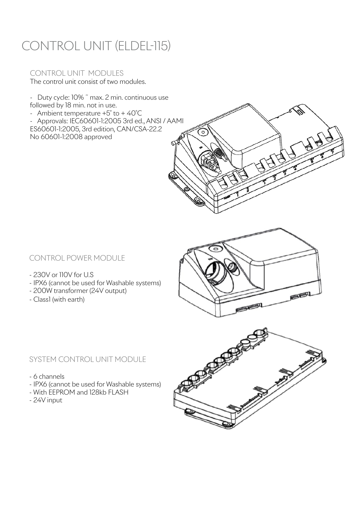# CONTROL UNIT (ELDEL-115)

### CONTROL UNIT MODULES

The control unit consist of two modules.

- Duty cycle: 10% ˜ max. 2 min. continuous use followed by 18 min. not in use.
- Ambient temperature +5˚ to + 40˚C

- Approvals: IEC60601-1:2005 3rd ed., ANSI / AAMI ES60601-1:2005, 3rd edition, CAN/CSA-22.2 No 60601-1:2008 approved





- 230V or 110V for U.S
- IPX6 (cannot be used for Washable systems)
- 200W transformer (24V output)
- Class1 (with earth)



#### SYSTEM CONTROL UNIT MODULE

- 6 channels
- IPX6 (cannot be used for Washable systems)
- With EEPROM and 128kb FLASH
- 24V input